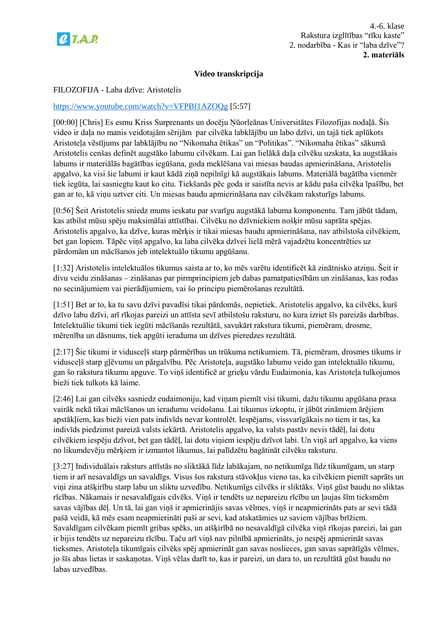

# **Video transkripcija**

### FILOZOFIJA - Laba dzīve: Aristotelis

### <https://www.youtube.com/watch?v=VFPBf1AZOQg> [5:57]

[00:00] [Chris] Es esmu Kriss Surprenants un docēju Ņūorleānas Universitātes Filozofijas nodaļā. Šis video ir daļa no manis veidotajām sērijām par cilvēka labklājību un labo dzīvi, un tajā tiek aplūkots Aristoteļa vēstījums par labklājību no "Nikomaha ētikas" un "Politikas". "Nikomaha ētikas" sākumā Aristotelis cenšas definēt augstāko labumu cilvēkam. Lai gan lielākā daļa cilvēku uzskata, ka augstākais labums ir materiālās bagātības iegūšana, goda meklēšana vai miesas baudas apmierināšana, Aristotelis apgalvo, ka visi šie labumi ir kaut kādā ziņā nepilnīgi kā augstākais labums. Materiālā bagātība vienmēr tiek iegūta, lai sasniegtu kaut ko citu. Tiekšanās pēc goda ir saistīta nevis ar kādu paša cilvēka īpašību, bet gan ar to, kā viņu uztver citi. Un miesas baudu apmierināšana nav cilvēkam raksturīgs labums.

[0:56] Šeit Aristotelis sniedz mums ieskatu par svarīgu augstākā labuma komponentu. Tam jābūt tādam, kas atbilst mūsu spēju maksimālai attīstībai. Cilvēku no dzīvniekiem nošķir mūsu saprāta spējas. Aristotelis apgalvo, ka dzīve, kuras mērķis ir tikai miesas baudu apmierināšana, nav atbilstoša cilvēkiem, bet gan lopiem. Tāpēc viņš apgalvo, ka laba cilvēka dzīvei lielā mērā vajadzētu koncentrēties uz pārdomām un mācīšanos jeb intelektuālo tikumu apgūšanu.

[1:32] Aristotelis intelektuālos tikumus saista ar to, ko mēs varētu identificēt kā zinātnisko atziņu. Šeit ir divu veidu zināšanas – zināšanas par pirmprincipiem jeb dabas pamatpatiesībām un zināšanas, kas rodas no secinājumiem vai pierādījumiem, vai šo principu piemērošanas rezultātā.

[1:51] Bet ar to, ka tu savu dzīvi pavadīsi tikai pārdomās, nepietiek. Aristotelis apgalvo, ka cilvēks, kurš dzīvo labu dzīvi, arī rīkojas pareizi un attīsta sevī atbilstošu raksturu, no kura izriet šīs pareizās darbības. Intelektuālie tikumi tiek iegūti mācīšanās rezultātā, savukārt rakstura tikumi, piemēram, drosme, mērenība un dāsnums, tiek apgūti ieraduma un dzīves pieredzes rezultātā.

[2:17] Šie tikumi ir vidusceļš starp pārmērības un trūkuma netikumiem. Tā, piemēram, drosmes tikums ir vidusceļš starp gļēvumu un pārgalvību. Pēc Aristoteļa, augstāko labumu veido gan intelektuālo tikumu, gan šo rakstura tikumu apguve. To viņš identificē ar grieķu vārdu Eudaimonia, kas Aristoteļa tulkojumos bieži tiek tulkots kā laime.

[2:46] Lai gan cilvēks sasniedz eudaimoniju, kad viņam piemīt visi tikumi, dažu tikumu apgūšana prasa vairāk nekā tikai mācīšanos un ieradumu veidošanu. Lai tikumus izkoptu, ir jābūt zināmiem ārējiem apstākļiem, kas bieži vien pats indivīds nevar kontrolēt. Iespējams, vissvarīgākais no tiem ir tas, ka indivīds piedzimst pareizā valsts iekārtā. Aristotelis apgalvo, ka valsts pastāv nevis tādēļ, lai dotu cilvēkiem iespēju dzīvot, bet gan tādēļ, lai dotu viņiem iespēju dzīvot labi. Un viņš arī apgalvo, ka viens no likumdevēju mērķiem ir izmantot likumus, lai palīdzētu bagātināt cilvēku raksturu.

[3:27] Individuālais raksturs attīstās no sliktākā līdz labākajam, no netikumīga līdz tikumīgam, un starp tiem ir arī nesavaldīgs un savaldīgs. Visus šos rakstura stāvokļus vieno tas, ka cilvēkiem piemīt saprāts un viņi zina atšķirību starp labu un sliktu uzvedību. Netikumīgs cilvēks ir sliktāks. Viņš gūst baudu no sliktas rīcības. Nākamais ir nesavaldīgais cilvēks. Viņš ir tendēts uz nepareizu rīcību un ļaujas šīm tieksmēm savas vājības dēļ. Un tā, lai gan viņš ir apmierinājis savas vēlmes, viņš ir neapmierināts pats ar sevi tādā pašā veidā, kā mēs esam neapmierināti paši ar sevi, kad atskatāmies uz saviem vājības brīžiem. Savaldīgam cilvēkam piemīt gribas spēks, un atšķirībā no nesavaldīgā cilvēka viņš rīkojas pareizi, lai gan ir bijis tendēts uz nepareizu rīcību. Taču arī viņš nav pilnībā apmierināts, jo nespēj apmierināt savas tieksmes. Aristoteļa tikumīgais cilvēks spēj apmierināt gan savas noslieces, gan savas saprātīgās vēlmes, jo šīs abas lietas ir saskaņotas. Viņš vēlas darīt to, kas ir pareizi, un dara to, un rezultātā gūst baudu no labas uzvedības.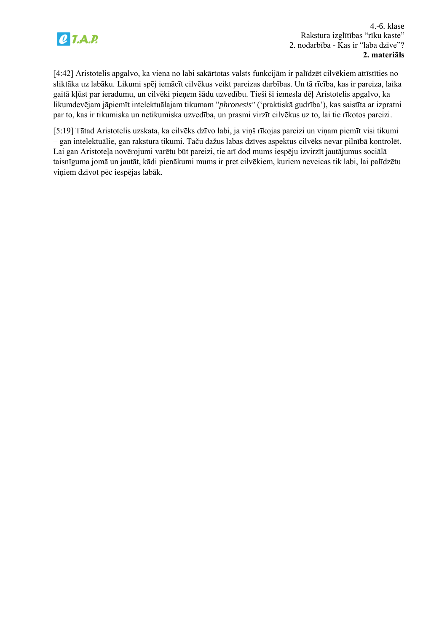

[4:42] Aristotelis apgalvo, ka viena no labi sakārtotas valsts funkcijām ir palīdzēt cilvēkiem attīstīties no sliktāka uz labāku. Likumi spēj iemācīt cilvēkus veikt pareizas darbības. Un tā rīcība, kas ir pareiza, laika gaitā kļūst par ieradumu, un cilvēki pieņem šādu uzvedību. Tieši šī iemesla dēļ Aristotelis apgalvo, ka likumdevējam jāpiemīt intelektuālajam tikumam "*phronesis"* ("praktiskā gudrība"), kas saistīta ar izpratni par to, kas ir tikumiska un netikumiska uzvedība, un prasmi virzīt cilvēkus uz to, lai tie rīkotos pareizi.

[5:19] Tātad Aristotelis uzskata, ka cilvēks dzīvo labi, ja viņš rīkojas pareizi un viņam piemīt visi tikumi – gan intelektuālie, gan rakstura tikumi. Taču dažus labas dzīves aspektus cilvēks nevar pilnībā kontrolēt. Lai gan Aristoteļa novērojumi varētu būt pareizi, tie arī dod mums iespēju izvirzīt jautājumus sociālā taisnīguma jomā un jautāt, kādi pienākumi mums ir pret cilvēkiem, kuriem neveicas tik labi, lai palīdzētu viņiem dzīvot pēc iespējas labāk.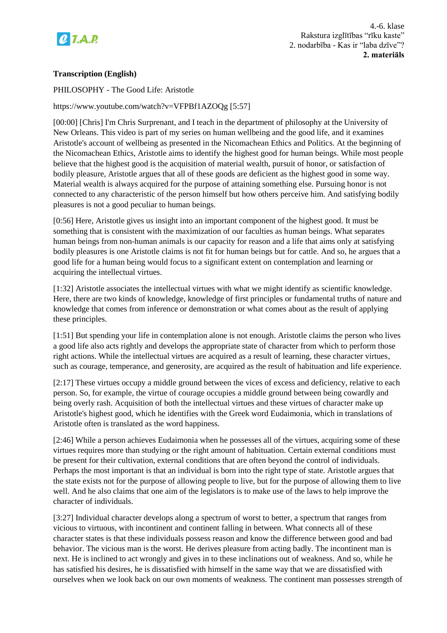

4.-6. klase Rakstura izglītības "rīku kaste" 2. nodarbība - Kas ir "laba dzīve"? **2. materiāls**

# **Transcription (English)**

#### PHILOSOPHY - The Good Life: Aristotle

https://www.youtube.com/watch?v=VFPBf1AZOQg [5:57]

[00:00] [Chris] I'm Chris Surprenant, and I teach in the department of philosophy at the University of New Orleans. This video is part of my series on human wellbeing and the good life, and it examines Aristotle's account of wellbeing as presented in the Nicomachean Ethics and Politics. At the beginning of the Nicomachean Ethics, Aristotle aims to identify the highest good for human beings. While most people believe that the highest good is the acquisition of material wealth, pursuit of honor, or satisfaction of bodily pleasure, Aristotle argues that all of these goods are deficient as the highest good in some way. Material wealth is always acquired for the purpose of attaining something else. Pursuing honor is not connected to any characteristic of the person himself but how others perceive him. And satisfying bodily pleasures is not a good peculiar to human beings.

[0:56] Here, Aristotle gives us insight into an important component of the highest good. It must be something that is consistent with the maximization of our faculties as human beings. What separates human beings from non-human animals is our capacity for reason and a life that aims only at satisfying bodily pleasures is one Aristotle claims is not fit for human beings but for cattle. And so, he argues that a good life for a human being would focus to a significant extent on contemplation and learning or acquiring the intellectual virtues.

[1:32] Aristotle associates the intellectual virtues with what we might identify as scientific knowledge. Here, there are two kinds of knowledge, knowledge of first principles or fundamental truths of nature and knowledge that comes from inference or demonstration or what comes about as the result of applying these principles.

[1:51] But spending your life in contemplation alone is not enough. Aristotle claims the person who lives a good life also acts rightly and develops the appropriate state of character from which to perform those right actions. While the intellectual virtues are acquired as a result of learning, these character virtues, such as courage, temperance, and generosity, are acquired as the result of habituation and life experience.

[2:17] These virtues occupy a middle ground between the vices of excess and deficiency, relative to each person. So, for example, the virtue of courage occupies a middle ground between being cowardly and being overly rash. Acquisition of both the intellectual virtues and these virtues of character make up Aristotle's highest good, which he identifies with the Greek word Eudaimonia, which in translations of Aristotle often is translated as the word happiness.

[2:46] While a person achieves Eudaimonia when he possesses all of the virtues, acquiring some of these virtues requires more than studying or the right amount of habituation. Certain external conditions must be present for their cultivation, external conditions that are often beyond the control of individuals. Perhaps the most important is that an individual is born into the right type of state. Aristotle argues that the state exists not for the purpose of allowing people to live, but for the purpose of allowing them to live well. And he also claims that one aim of the legislators is to make use of the laws to help improve the character of individuals.

[3:27] Individual character develops along a spectrum of worst to better, a spectrum that ranges from vicious to virtuous, with incontinent and continent falling in between. What connects all of these character states is that these individuals possess reason and know the difference between good and bad behavior. The vicious man is the worst. He derives pleasure from acting badly. The incontinent man is next. He is inclined to act wrongly and gives in to these inclinations out of weakness. And so, while he has satisfied his desires, he is dissatisfied with himself in the same way that we are dissatisfied with ourselves when we look back on our own moments of weakness. The continent man possesses strength of